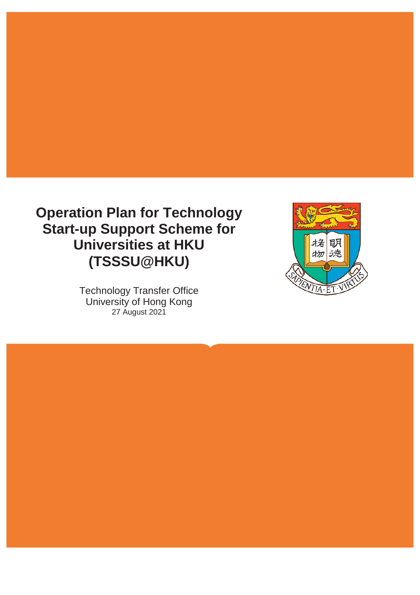## **Operation Plan for Technology Start-up Support Scheme for Universities at HKU (TSSSU@HKU)**

Technology Transfer Office University of Hong Kong 27 August 2021

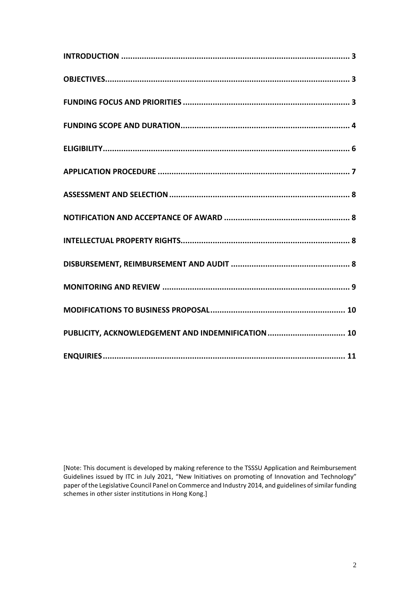| PUBLICITY, ACKNOWLEDGEMENT AND INDEMNIFICATION  10 |
|----------------------------------------------------|
|                                                    |

[Note: This document is developed by making reference to the TSSSU Application and Reimbursement Guidelines issued by ITC in July 2021, "New Initiatives on promoting of Innovation and Technology" paper of the Legislative Council Panel on Commerce and Industry 2014, and guidelines of similar funding schemes in other sister institutions in Hong Kong.]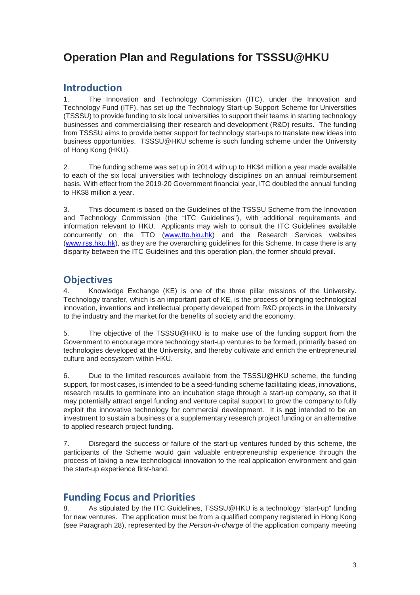### **Operation Plan and Regulations for TSSSU@HKU**

#### **Introduction**

1. The Innovation and Technology Commission (ITC), under the Innovation and Technology Fund (ITF), has set up the Technology Start-up Support Scheme for Universities (TSSSU) to provide funding to six local universities to support their teams in starting technology businesses and commercialising their research and development (R&D) results. The funding from TSSSU aims to provide better support for technology start-ups to translate new ideas into business opportunities. TSSSU@HKU scheme is such funding scheme under the University of Hong Kong (HKU).

2. The funding scheme was set up in 2014 with up to HK\$4 million a year made available to each of the six local universities with technology disciplines on an annual reimbursement basis. With effect from the 2019-20 Government financial year, ITC doubled the annual funding to HK\$8 million a year.

3. This document is based on the Guidelines of the TSSSU Scheme from the Innovation and Technology Commission (the "ITC Guidelines"), with additional requirements and information relevant to HKU. Applicants may wish to consult the ITC Guidelines available concurrently on the TTO [\(www.tto.hku.hk\)](http://www.tto.hku.hk/) and the Research Services websites [\(www.rss.hku.hk\)](http://www.rss.hku.hk/), as they are the overarching guidelines for this Scheme. In case there is any disparity between the ITC Guidelines and this operation plan, the former should prevail.

#### **Objectives**

4. Knowledge Exchange (KE) is one of the three pillar missions of the University. Technology transfer, which is an important part of KE, is the process of bringing technological innovation, inventions and intellectual property developed from R&D projects in the University to the industry and the market for the benefits of society and the economy.

5. The objective of the TSSSU@HKU is to make use of the funding support from the Government to encourage more technology start-up ventures to be formed, primarily based on technologies developed at the University, and thereby cultivate and enrich the entrepreneurial culture and ecosystem within HKU.

6. Due to the limited resources available from the TSSSU@HKU scheme, the funding support, for most cases, is intended to be a seed-funding scheme facilitating ideas, innovations, research results to germinate into an incubation stage through a start-up company, so that it may potentially attract angel funding and venture capital support to grow the company to fully exploit the innovative technology for commercial development. It is **not** intended to be an investment to sustain a business or a supplementary research project funding or an alternative to applied research project funding.

7. Disregard the success or failure of the start-up ventures funded by this scheme, the participants of the Scheme would gain valuable entrepreneurship experience through the process of taking a new technological innovation to the real application environment and gain the start-up experience first-hand.

#### **Funding Focus and Priorities**

8. As stipulated by the ITC Guidelines, TSSSU@HKU is a technology "start-up" funding for new ventures. The application must be from a qualified company registered in Hong Kong (see Paragraph 28), represented by the *Person-in-charge* of the application company meeting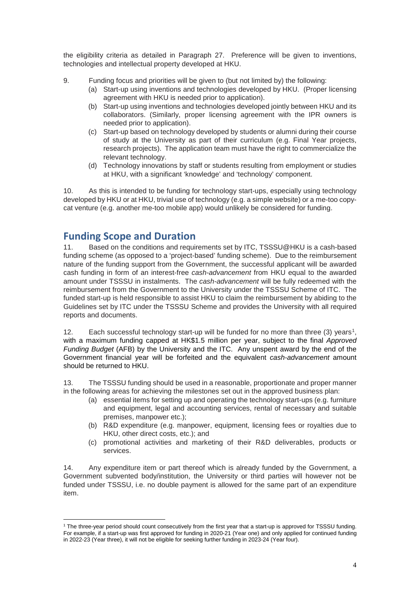the eligibility criteria as detailed in Paragraph 27. Preference will be given to inventions, technologies and intellectual property developed at HKU.

- 9. Funding focus and priorities will be given to (but not limited by) the following:
	- (a) Start-up using inventions and technologies developed by HKU. (Proper licensing agreement with HKU is needed prior to application).
	- (b) Start-up using inventions and technologies developed jointly between HKU and its collaborators. (Similarly, proper licensing agreement with the IPR owners is needed prior to application).
	- (c) Start-up based on technology developed by students or alumni during their course of study at the University as part of their curriculum (e.g. Final Year projects, research projects). The application team must have the right to commercialize the relevant technology.
	- (d) Technology innovations by staff or students resulting from employment or studies at HKU, with a significant 'knowledge' and 'technology' component.

10. As this is intended to be funding for technology start-ups, especially using technology developed by HKU or at HKU, trivial use of technology (e.g. a simple website) or a me-too copycat venture (e.g. another me-too mobile app) would unlikely be considered for funding.

#### **Funding Scope and Duration**

11. Based on the conditions and requirements set by ITC, TSSSU@HKU is a cash-based funding scheme (as opposed to a 'project-based' funding scheme). Due to the reimbursement nature of the funding support from the Government, the successful applicant will be awarded cash funding in form of an interest-free *cash-advancement* from HKU equal to the awarded amount under TSSSU in instalments. The *cash-advancement* will be fully redeemed with the reimbursement from the Government to the University under the TSSSU Scheme of ITC. The funded start-up is held responsible to assist HKU to claim the reimbursement by abiding to the Guidelines set by ITC under the TSSSU Scheme and provides the University with all required reports and documents.

[1](#page-3-0)2. Each successful technology start-up will be funded for no more than three (3) years<sup>1</sup>, with a maximum funding capped at HK\$1.5 million per year, subject to the final *Approved Funding Budget* (AFB) by the University and the ITC. Any unspent award by the end of the Government financial year will be forfeited and the equivalent *cash-advancement* amount should be returned to HKU.

13. The TSSSU funding should be used in a reasonable, proportionate and proper manner in the following areas for achieving the milestones set out in the approved business plan:

- (a) essential items for setting up and operating the technology start-ups (e.g. furniture and equipment, legal and accounting services, rental of necessary and suitable premises, manpower etc.);
- (b) R&D expenditure (e.g. manpower, equipment, licensing fees or royalties due to HKU, other direct costs, etc.); and
- (c) promotional activities and marketing of their R&D deliverables, products or services.

14. Any expenditure item or part thereof which is already funded by the Government, a Government subvented body/institution, the University or third parties will however not be funded under TSSSU, i.e. no double payment is allowed for the same part of an expenditure item.

<span id="page-3-0"></span> $\overline{a}$ <sup>1</sup> The three-year period should count consecutively from the first year that a start-up is approved for TSSSU funding. For example, if a start-up was first approved for funding in 2020-21 (Year one) and only applied for continued funding in 2022-23 (Year three), it will not be eligible for seeking further funding in 2023-24 (Year four).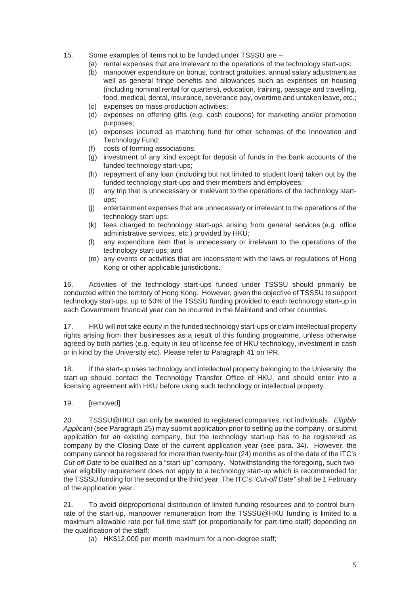- 15. Some examples of items not to be funded under TSSSU are
	- (a) rental expenses that are irrelevant to the operations of the technology start-ups;
	- (b) manpower expenditure on bonus, contract gratuities, annual salary adjustment as well as general fringe benefits and allowances such as expenses on housing (including nominal rental for quarters), education, training, passage and travelling, food, medical, dental, insurance, severance pay, overtime and untaken leave, etc.;
	- (c) expenses on mass production activities;
	- (d) expenses on offering gifts (e.g. cash coupons) for marketing and/or promotion purposes;
	- (e) expenses incurred as matching fund for other schemes of the Innovation and Technology Fund;
	- (f) costs of forming associations;
	- (g) investment of any kind except for deposit of funds in the bank accounts of the funded technology start-ups;
	- (h) repayment of any loan (including but not limited to student loan) taken out by the funded technology start-ups and their members and employees;
	- (i) any trip that is unnecessary or irrelevant to the operations of the technology startups;
	- (j) entertainment expenses that are unnecessary or irrelevant to the operations of the technology start-ups;
	- (k) fees charged to technology start-ups arising from general services (e.g. office administrative services, etc.) provided by HKU;
	- (l) any expenditure item that is unnecessary or irrelevant to the operations of the technology start-ups; and
	- (m) any events or activities that are inconsistent with the laws or regulations of Hong Kong or other applicable jurisdictions.

16. Activities of the technology start-ups funded under TSSSU should primarily be conducted within the territory of Hong Kong. However, given the objective of TSSSU to support technology start-ups, up to 50% of the TSSSU funding provided to each technology start-up in each Government financial year can be incurred in the Mainland and other countries.

17. HKU will not take equity in the funded technology start-ups or claim intellectual property rights arising from their businesses as a result of this funding programme, unless otherwise agreed by both parties (e.g. equity in lieu of license fee of HKU technology, investment in cash or in kind by the University etc). Please refer to Paragraph 41 on IPR.

18. If the start-up uses technology and intellectual property belonging to the University, the start-up should contact the Technology Transfer Office of HKU, and should enter into a licensing agreement with HKU before using such technology or intellectual property.

19. **[**removed]

20. TSSSU@HKU can only be awarded to registered companies, not individuals. *Eligible Applicant* (see Paragraph 25) may submit application prior to setting up the company, or submit application for an existing company, but the technology start-up has to be registered as company by the Closing Date of the current application year (see para. 34). However, the company cannot be registered for more than twenty-four (24) months as of the date of the ITC's *Cut-off Date* to be qualified as a "start-up" company. Notwithstanding the foregoing, such twoyear eligibility requirement does not apply to a technology start-up which is recommended for the TSSSU funding for the second or the third year. The ITC's "*Cut-off Date"* shall be 1 February of the application year.

21. To avoid disproportional distribution of limited funding resources and to control burnrate of the start-up, manpower remuneration from the TSSSU@HKU funding is limited to a maximum allowable rate per full-time staff (or proportionally for part-time staff) depending on the qualification of the staff:

(a) HK\$12,000 per month maximum for a non-degree staff;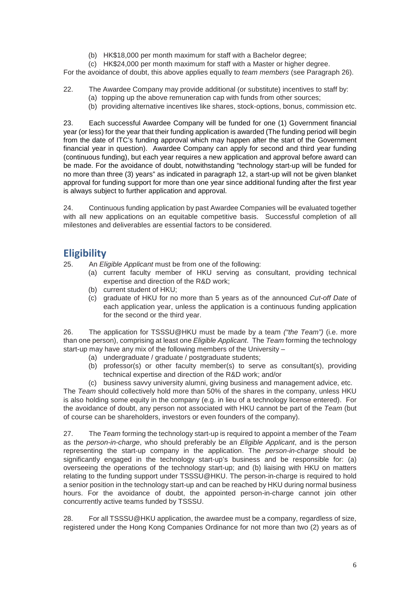(b) HK\$18,000 per month maximum for staff with a Bachelor degree;

(c) HK\$24,000 per month maximum for staff with a Master or higher degree.

For the avoidance of doubt, this above applies equally to *team members* (see Paragraph 26).

- 22. The Awardee Company may provide additional (or substitute) incentives to staff by:
	- (a) topping up the above remuneration cap with funds from other sources;
	- (b) providing alternative incentives like shares, stock-options, bonus, commission etc.

23. Each successful Awardee Company will be funded for one (1) Government financial year (or less) for the year that their funding application is awarded (The funding period will begin from the date of ITC's funding approval which may happen after the start of the Government financial year in question). Awardee Company can apply for second and third year funding (continuous funding), but each year requires a new application and approval before award can be made. For the avoidance of doubt, notwithstanding "technology start-up will be funded for no more than three (3) years" as indicated in paragraph 12, a start-up will not be given blanket approval for funding support for more than one year since additional funding after the first year is always subject to further application and approval.

24. Continuous funding application by past Awardee Companies will be evaluated together with all new applications on an equitable competitive basis. Successful completion of all milestones and deliverables are essential factors to be considered.

#### **Eligibility**

25. An *Eligible Applicant* must be from one of the following:

- (a) current faculty member of HKU serving as consultant, providing technical expertise and direction of the R&D work;
- (b) current student of HKU;
- (c) graduate of HKU for no more than 5 years as of the announced *Cut-off Date* of each application year, unless the application is a continuous funding application for the second or the third year.

26. The application for TSSSU@HKU must be made by a team *("the Team")* (i.e. more than one person), comprising at least one *Eligible Applicant*. The *Team* forming the technology start-up may have any mix of the following members of the University –

- (a) undergraduate / graduate / postgraduate students;
- (b) professor(s) or other faculty member(s) to serve as consultant(s), providing technical expertise and direction of the R&D work; and/or
- (c) business savvy university alumni, giving business and management advice, etc.

The *Team* should collectively hold more than 50% of the shares in the company, unless HKU is also holding some equity in the company (e.g. in lieu of a technology license entered). For the avoidance of doubt, any person not associated with HKU cannot be part of the *Team* (but of course can be shareholders, investors or even founders of the company).

27. The *Team* forming the technology start-up is required to appoint a member of the *Team* as the *person-in-charge*, who should preferably be an *Eligible Applicant*, and is the person representing the start-up company in the application. The *person-in-charge* should be significantly engaged in the technology start-up's business and be responsible for: (a) overseeing the operations of the technology start-up; and (b) liaising with HKU on matters relating to the funding support under TSSSU@HKU. The person-in-charge is required to hold a senior position in the technology start-up and can be reached by HKU during normal business hours. For the avoidance of doubt, the appointed person-in-charge cannot join other concurrently active teams funded by TSSSU.

28. For all TSSSU@HKU application, the awardee must be a company, regardless of size, registered under the Hong Kong Companies Ordinance for not more than two (2) years as of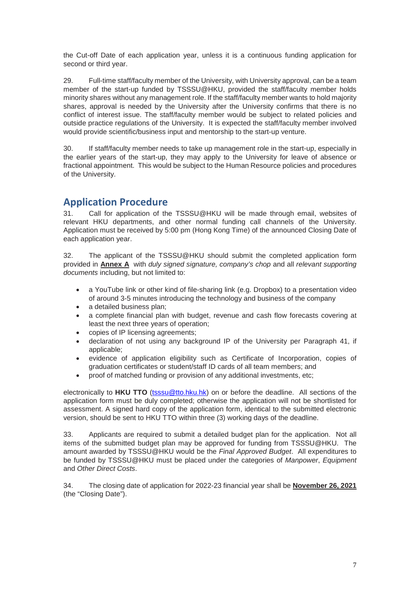the Cut-off Date of each application year, unless it is a continuous funding application for second or third year.

29. Full-time staff/faculty member of the University, with University approval, can be a team member of the start-up funded by TSSSU@HKU, provided the staff/faculty member holds minority shares without any management role. If the staff/faculty member wants to hold majority shares, approval is needed by the University after the University confirms that there is no conflict of interest issue. The staff/faculty member would be subject to related policies and outside practice regulations of the University. It is expected the staff/faculty member involved would provide scientific/business input and mentorship to the start-up venture.

30. If staff/faculty member needs to take up management role in the start-up, especially in the earlier years of the start-up, they may apply to the University for leave of absence or fractional appointment. This would be subject to the Human Resource policies and procedures of the University.

#### **Application Procedure**

31. Call for application of the TSSSU@HKU will be made through email, websites of relevant HKU departments, and other normal funding call channels of the University. Application must be received by 5:00 pm (Hong Kong Time) of the announced Closing Date of each application year.

32. The applicant of the TSSSU@HKU should submit the completed application form provided in **Annex A** with *duly signed signature, company's chop* and all *relevant supporting documents* including, but not limited to:

- a YouTube link or other kind of file-sharing link (e.g. Dropbox) to a presentation video of around 3-5 minutes introducing the technology and business of the company
- a detailed business plan:
- a complete financial plan with budget, revenue and cash flow forecasts covering at least the next three years of operation;
- copies of IP licensing agreements;
- declaration of not using any background IP of the University per Paragraph 41, if applicable;
- evidence of application eligibility such as Certificate of Incorporation, copies of graduation certificates or student/staff ID cards of all team members; and
- proof of matched funding or provision of any additional investments, etc;

electronically to **HKU TTO** [\(tsssu@tto.hku.hk\)](mailto:tsssu@tto.hku.hk) on or before the deadline. All sections of the application form must be duly completed; otherwise the application will not be shortlisted for assessment. A signed hard copy of the application form, identical to the submitted electronic version, should be sent to HKU TTO within three (3) working days of the deadline.

33. Applicants are required to submit a detailed budget plan for the application. Not all items of the submitted budget plan may be approved for funding from TSSSU@HKU. The amount awarded by TSSSU@HKU would be the *Final Approved Budget*. All expenditures to be funded by TSSSU@HKU must be placed under the categories of *Manpower*, *Equipment* and *Other Direct Costs*.

34. The closing date of application for 2022-23 financial year shall be **November 26, 2021** (the "Closing Date").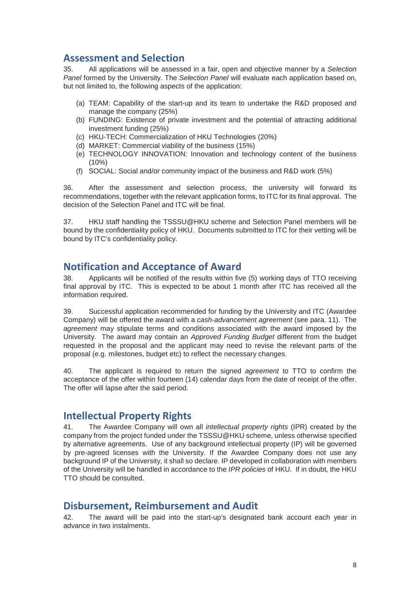#### **Assessment and Selection**

35. All applications will be assessed in a fair, open and objective manner by a *Selection Panel* formed by the University. The *Selection Panel* will evaluate each application based on, but not limited to, the following aspects of the application:

- (a) TEAM: Capability of the start-up and its team to undertake the R&D proposed and manage the company (25%)
- (b) FUNDING: Existence of private investment and the potential of attracting additional investment funding (25%)
- (c) HKU-TECH: Commercialization of HKU Technologies (20%)
- (d) MARKET: Commercial viability of the business (15%)
- (e) TECHNOLOGY INNOVATION: Innovation and technology content of the business  $(10\%)$
- (f) SOCIAL: Social and/or community impact of the business and R&D work (5%)

36. After the assessment and selection process, the university will forward its recommendations, together with the relevant application forms, to ITC for its final approval. The decision of the Selection Panel and ITC will be final.

37. HKU staff handling the TSSSU@HKU scheme and Selection Panel members will be bound by the confidentiality policy of HKU. Documents submitted to ITC for their vetting will be bound by ITC's confidentiality policy.

#### **Notification and Acceptance of Award**

38. Applicants will be notified of the results within five (5) working days of TTO receiving final approval by ITC. This is expected to be about 1 month after ITC has received all the information required.

39. Successful application recommended for funding by the University and ITC (Awardee Company) will be offered the award with a *cash-advancement agreement* (see para. 11). The *agreement* may stipulate terms and conditions associated with the award imposed by the University. The award may contain an *Approved Funding Budget* different from the budget requested in the proposal and the applicant may need to revise the relevant parts of the proposal (e.g. milestones, budget etc) to reflect the necessary changes.

40. The applicant is required to return the signed *agreement* to TTO to confirm the acceptance of the offer within fourteen (14) calendar days from the date of receipt of the offer. The offer will lapse after the said period.

#### **Intellectual Property Rights**

41. The Awardee Company will own all *intellectual property rights* (IPR) created by the company from the project funded under the TSSSU@HKU scheme, unless otherwise specified by alternative agreements. Use of any background intellectual property (IP) will be governed by pre-agreed licenses with the University. If the Awardee Company does not use any background IP of the University, it shall so declare. IP developed in collaboration with members of the University will be handled in accordance to the *IPR policies* of HKU. If in doubt, the HKU TTO should be consulted.

#### **Disbursement, Reimbursement and Audit**

42. The award will be paid into the start-up's designated bank account each year in advance in two instalments.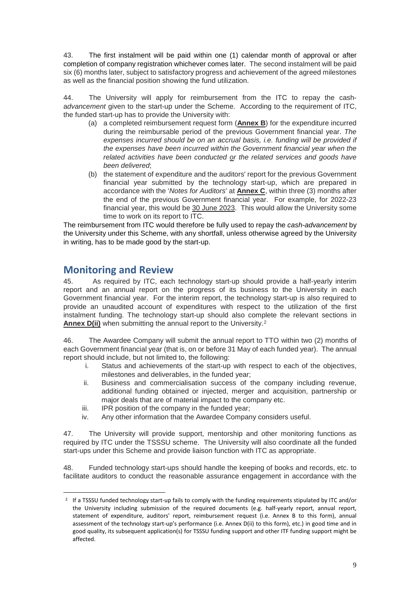43. The first instalment will be paid within one (1) calendar month of approval or after completion of company registration whichever comes later. The second instalment will be paid six (6) months later, subject to satisfactory progress and achievement of the agreed milestones as well as the financial position showing the fund utilization.

44. The University will apply for reimbursement from the ITC to repay the casha*dvancement* given to the start-up under the Scheme. According to the requirement of ITC, the funded start-up has to provide the University with:

- (a) a completed reimbursement request form (**Annex B**) for the expenditure incurred during the reimbursable period of the previous Government financial year. *The expenses incurred should be on an accrual basis, i.e. funding will be provided if the expenses have been incurred within the Government financial year when the related activities have been conducted or the related services and goods have been delivered*;
- (b) the statement of expenditure and the auditors' report for the previous Government financial year submitted by the technology start-up, which are prepared in accordance with the '*Notes for Auditors*' at **Annex C**, within three (3) months after the end of the previous Government financial year. For example, for 2022-23 financial year, this would be 30 June 2023. This would allow the University some time to work on its report to ITC.

The reimbursement from ITC would therefore be fully used to repay the *cash-advancement* by the University under this Scheme, with any shortfall, unless otherwise agreed by the University in writing, has to be made good by the start-up.

#### **Monitoring and Review**

<span id="page-8-0"></span> $\overline{a}$ 

45. As required by ITC, each technology start-up should provide a half-yearly interim report and an annual report on the progress of its business to the University in each Government financial year. For the interim report, the technology start-up is also required to provide an unaudited account of expenditures with respect to the utilization of the first instalment funding. The technology start-up should also complete the relevant sections in **Annex D(ii)** when submitting the annual report to the University.[2](#page-8-0)

46. The Awardee Company will submit the annual report to TTO within two (2) months of each Government financial year (that is, on or before 31 May of each funded year). The annual report should include, but not limited to, the following:

- i. Status and achievements of the start-up with respect to each of the objectives, milestones and deliverables, in the funded year;
- ii. Business and commercialisation success of the company including revenue, additional funding obtained or injected, merger and acquisition, partnership or major deals that are of material impact to the company etc.
- iii. IPR position of the company in the funded year;
- iv. Any other information that the Awardee Company considers useful.

47. The University will provide support, mentorship and other monitoring functions as required by ITC under the TSSSU scheme. The University will also coordinate all the funded start-ups under this Scheme and provide liaison function with ITC as appropriate.

48. Funded technology start-ups should handle the keeping of books and records, etc. to facilitate auditors to conduct the reasonable assurance engagement in accordance with the

<sup>2</sup> If a TSSSU funded technology start-up fails to comply with the funding requirements stipulated by ITC and/or the University including submission of the required documents (e.g. half-yearly report, annual report, statement of expenditure, auditors' report, reimbursement request (i.e. Annex B to this form), annual assessment of the technology start-up's performance (i.e. Annex D(ii) to this form), etc.) in good time and in good quality, its subsequent application(s) for TSSSU funding support and other ITF funding support might be affected.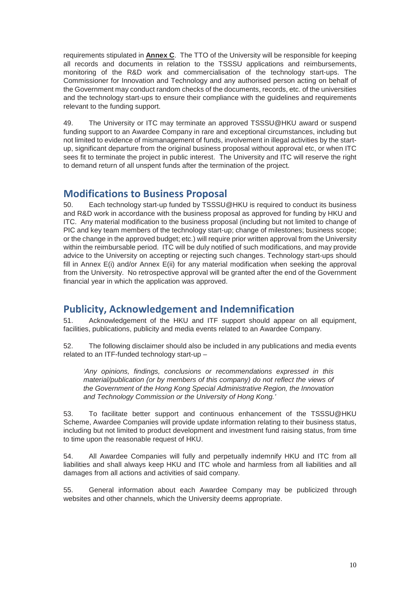requirements stipulated in **Annex C**. The TTO of the University will be responsible for keeping all records and documents in relation to the TSSSU applications and reimbursements, monitoring of the R&D work and commercialisation of the technology start-ups. The Commissioner for Innovation and Technology and any authorised person acting on behalf of the Government may conduct random checks of the documents, records, etc. of the universities and the technology start-ups to ensure their compliance with the guidelines and requirements relevant to the funding support.

49. The University or ITC may terminate an approved TSSSU@HKU award or suspend funding support to an Awardee Company in rare and exceptional circumstances, including but not limited to evidence of mismanagement of funds, involvement in illegal activities by the startup, significant departure from the original business proposal without approval etc, or when ITC sees fit to terminate the project in public interest. The University and ITC will reserve the right to demand return of all unspent funds after the termination of the project.

#### **Modifications to Business Proposal**

50. Each technology start-up funded by TSSSU@HKU is required to conduct its business and R&D work in accordance with the business proposal as approved for funding by HKU and ITC. Any material modification to the business proposal (including but not limited to change of PIC and key team members of the technology start-up; change of milestones; business scope; or the change in the approved budget; etc.) will require prior written approval from the University within the reimbursable period. ITC will be duly notified of such modifications, and may provide advice to the University on accepting or rejecting such changes. Technology start-ups should fill in Annex E(i) and/or Annex E(ii) for any material modification when seeking the approval from the University. No retrospective approval will be granted after the end of the Government financial year in which the application was approved.

## **Publicity, Acknowledgement and Indemnification**<br>51 Acknowledgement of the HKU and ITE support should appear

Acknowledgement of the HKU and ITF support should appear on all equipment, facilities, publications, publicity and media events related to an Awardee Company.

52. The following disclaimer should also be included in any publications and media events related to an ITF-funded technology start-up –

*'Any opinions, findings, conclusions or recommendations expressed in this material/publication (or by members of this company) do not reflect the views of the Government of the Hong Kong Special Administrative Region, the Innovation and Technology Commission or the University of Hong Kong.'*

53. To facilitate better support and continuous enhancement of the TSSSU@HKU Scheme, Awardee Companies will provide update information relating to their business status, including but not limited to product development and investment fund raising status, from time to time upon the reasonable request of HKU.

54. All Awardee Companies will fully and perpetually indemnify HKU and ITC from all liabilities and shall always keep HKU and ITC whole and harmless from all liabilities and all damages from all actions and activities of said company.

55. General information about each Awardee Company may be publicized through websites and other channels, which the University deems appropriate.